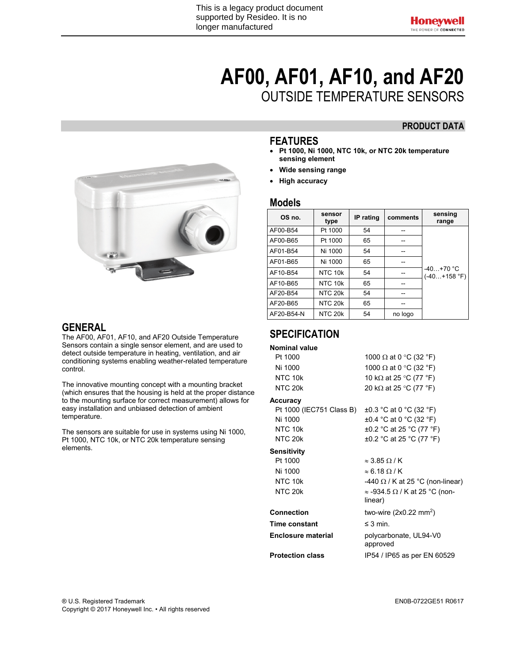# **AF00, AF01, AF10, and AF20** OUTSIDE TEMPERATURE SENSORS

# **PRODUCT DATA**

### **FEATURES**

- **Pt 1000, Ni 1000, NTC 10k, or NTC 20k temperature sensing element**
- **Wide sensing range**
- **High accuracy**

### **Models**

| OS no.     | sensor<br>type | IP rating | comments | sensing<br>range              |
|------------|----------------|-----------|----------|-------------------------------|
| AF00-B54   | Pt 1000        | 54        | --       |                               |
| AF00-B65   | Pt 1000        | 65        |          |                               |
| AF01-B54   | Ni 1000        | 54        | --       |                               |
| AF01-B65   | Ni 1000        | 65        | --       |                               |
| AF10-B54   | NTC 10k        | 54        |          | $-40+70$ °C<br>$(-40+158$ °F) |
| AF10-B65   | NTC 10k        | 65        |          |                               |
| AF20-B54   | <b>NTC 20k</b> | 54        |          |                               |
| AF20-B65   | <b>NTC 20k</b> | 65        |          |                               |
| AF20-B54-N | NTC 20k        | 54        | no logo  |                               |

# **SPECIFICATION**

### **Nominal value**

| Pt 1000                   | 1000 $\Omega$ at 0 °C (32 °F)                           |
|---------------------------|---------------------------------------------------------|
| Ni 1000                   | 1000 $\Omega$ at 0 °C (32 °F)                           |
| NTC 10k                   | 10 k $\Omega$ at 25 °C (77 °F)                          |
| <b>NTC 20k</b>            | 20 kΩ at 25 °C (77 °F)                                  |
| <b>Accuracy</b>           |                                                         |
| Pt 1000 (IEC751 Class B)  | $\pm 0.3$ °C at 0 °C (32 °F)                            |
| Ni 1000                   | $\pm 0.4$ °C at 0 °C (32 °F)                            |
| NTC 10k                   | ±0.2 °C at 25 °C (77 °F)                                |
| <b>NTC 20k</b>            | ±0.2 °C at 25 °C (77 °F)                                |
| <b>Sensitivity</b>        |                                                         |
| Pt 1000                   | $\approx$ 3.85 $\Omega$ / K                             |
| Ni 1000                   | $\approx 6.18 \Omega/K$                                 |
| NTC 10k                   | -440 $\Omega$ / K at 25 °C (non-linear)                 |
| NTC 20k                   | $\approx$ -934.5 $\Omega$ / K at 25 °C (non-<br>linear) |
| <b>Connection</b>         | two-wire $(2x0.22 \text{ mm}^2)$                        |
| <b>Time constant</b>      | $\leq$ 3 min.                                           |
| <b>Enclosure material</b> | polycarbonate, UL94-V0<br>approved                      |
| <b>Protection class</b>   | IP54 / IP65 as per EN 60529                             |



# **GENERAL**

The AF00, AF01, AF10, and AF20 Outside Temperature Sensors contain a single sensor element, and are used to detect outside temperature in heating, ventilation, and air conditioning systems enabling weather-related temperature control.

The innovative mounting concept with a mounting bracket (which ensures that the housing is held at the proper distance to the mounting surface for correct measurement) allows for easy installation and unbiased detection of ambient temperature.

The sensors are suitable for use in systems using Ni 1000, Pt 1000, NTC 10k, or NTC 20k temperature sensing elements.